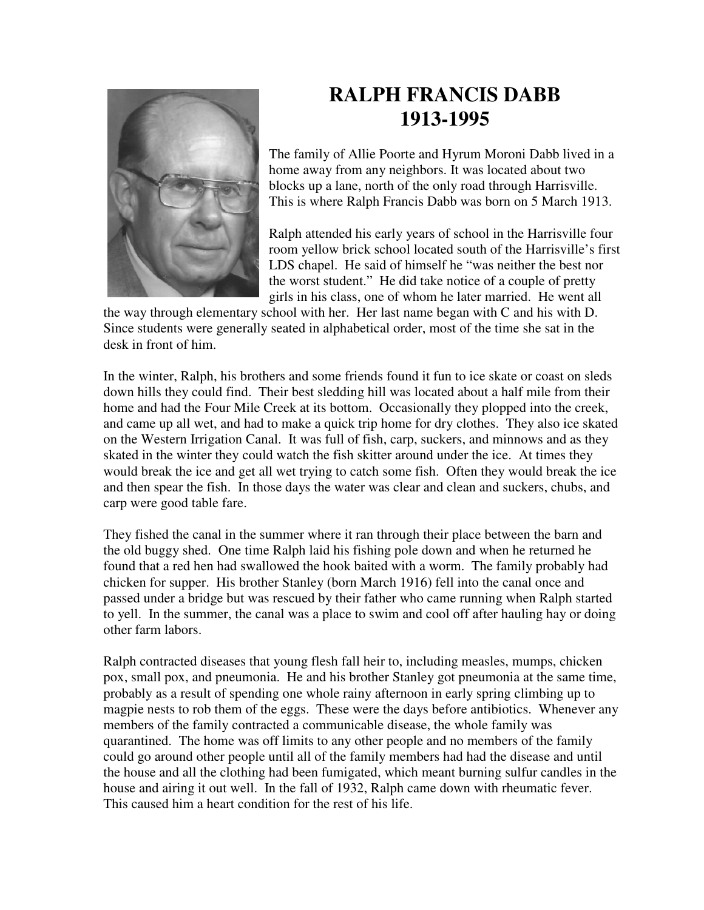

## **RALPH FRANCIS DABB 1913-1995**

The family of Allie Poorte and Hyrum Moroni Dabb lived in a home away from any neighbors. It was located about two blocks up a lane, north of the only road through Harrisville. This is where Ralph Francis Dabb was born on 5 March 1913.

Ralph attended his early years of school in the Harrisville four room yellow brick school located south of the Harrisville's first LDS chapel. He said of himself he "was neither the best nor the worst student." He did take notice of a couple of pretty girls in his class, one of whom he later married. He went all

the way through elementary school with her. Her last name began with C and his with D. Since students were generally seated in alphabetical order, most of the time she sat in the desk in front of him.

In the winter, Ralph, his brothers and some friends found it fun to ice skate or coast on sleds down hills they could find. Their best sledding hill was located about a half mile from their home and had the Four Mile Creek at its bottom. Occasionally they plopped into the creek, and came up all wet, and had to make a quick trip home for dry clothes. They also ice skated on the Western Irrigation Canal. It was full of fish, carp, suckers, and minnows and as they skated in the winter they could watch the fish skitter around under the ice. At times they would break the ice and get all wet trying to catch some fish. Often they would break the ice and then spear the fish. In those days the water was clear and clean and suckers, chubs, and carp were good table fare.

They fished the canal in the summer where it ran through their place between the barn and the old buggy shed. One time Ralph laid his fishing pole down and when he returned he found that a red hen had swallowed the hook baited with a worm. The family probably had chicken for supper. His brother Stanley (born March 1916) fell into the canal once and passed under a bridge but was rescued by their father who came running when Ralph started to yell. In the summer, the canal was a place to swim and cool off after hauling hay or doing other farm labors.

Ralph contracted diseases that young flesh fall heir to, including measles, mumps, chicken pox, small pox, and pneumonia. He and his brother Stanley got pneumonia at the same time, probably as a result of spending one whole rainy afternoon in early spring climbing up to magpie nests to rob them of the eggs. These were the days before antibiotics. Whenever any members of the family contracted a communicable disease, the whole family was quarantined. The home was off limits to any other people and no members of the family could go around other people until all of the family members had had the disease and until the house and all the clothing had been fumigated, which meant burning sulfur candles in the house and airing it out well. In the fall of 1932, Ralph came down with rheumatic fever. This caused him a heart condition for the rest of his life.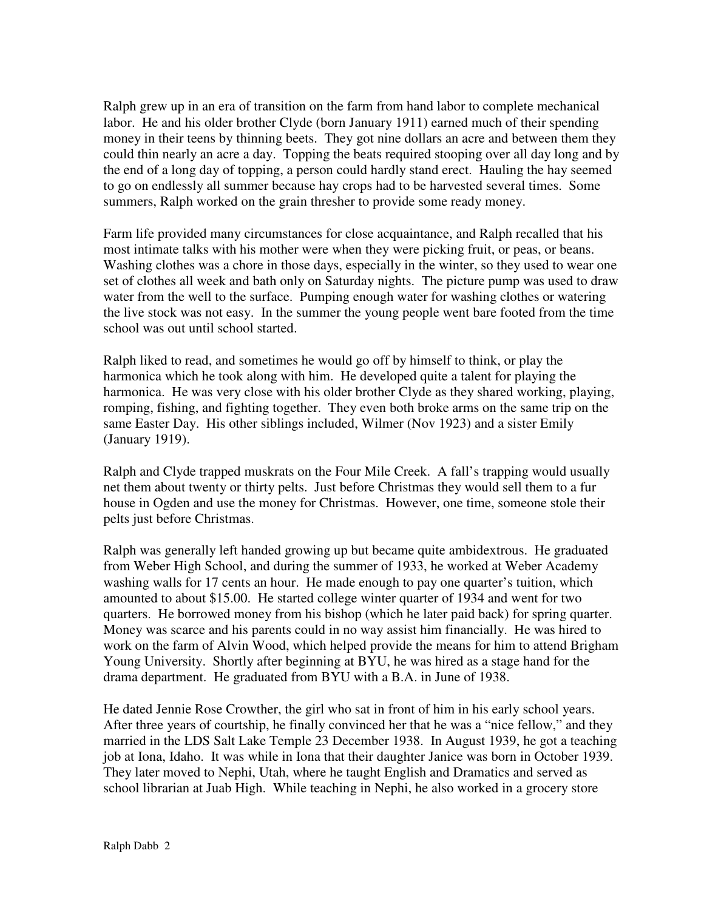Ralph grew up in an era of transition on the farm from hand labor to complete mechanical labor. He and his older brother Clyde (born January 1911) earned much of their spending money in their teens by thinning beets. They got nine dollars an acre and between them they could thin nearly an acre a day. Topping the beats required stooping over all day long and by the end of a long day of topping, a person could hardly stand erect. Hauling the hay seemed to go on endlessly all summer because hay crops had to be harvested several times. Some summers, Ralph worked on the grain thresher to provide some ready money.

Farm life provided many circumstances for close acquaintance, and Ralph recalled that his most intimate talks with his mother were when they were picking fruit, or peas, or beans. Washing clothes was a chore in those days, especially in the winter, so they used to wear one set of clothes all week and bath only on Saturday nights. The picture pump was used to draw water from the well to the surface. Pumping enough water for washing clothes or watering the live stock was not easy. In the summer the young people went bare footed from the time school was out until school started.

Ralph liked to read, and sometimes he would go off by himself to think, or play the harmonica which he took along with him. He developed quite a talent for playing the harmonica. He was very close with his older brother Clyde as they shared working, playing, romping, fishing, and fighting together. They even both broke arms on the same trip on the same Easter Day. His other siblings included, Wilmer (Nov 1923) and a sister Emily (January 1919).

Ralph and Clyde trapped muskrats on the Four Mile Creek. A fall's trapping would usually net them about twenty or thirty pelts. Just before Christmas they would sell them to a fur house in Ogden and use the money for Christmas. However, one time, someone stole their pelts just before Christmas.

Ralph was generally left handed growing up but became quite ambidextrous. He graduated from Weber High School, and during the summer of 1933, he worked at Weber Academy washing walls for 17 cents an hour. He made enough to pay one quarter's tuition, which amounted to about \$15.00. He started college winter quarter of 1934 and went for two quarters. He borrowed money from his bishop (which he later paid back) for spring quarter. Money was scarce and his parents could in no way assist him financially. He was hired to work on the farm of Alvin Wood, which helped provide the means for him to attend Brigham Young University. Shortly after beginning at BYU, he was hired as a stage hand for the drama department. He graduated from BYU with a B.A. in June of 1938.

He dated Jennie Rose Crowther, the girl who sat in front of him in his early school years. After three years of courtship, he finally convinced her that he was a "nice fellow," and they married in the LDS Salt Lake Temple 23 December 1938. In August 1939, he got a teaching job at Iona, Idaho. It was while in Iona that their daughter Janice was born in October 1939. They later moved to Nephi, Utah, where he taught English and Dramatics and served as school librarian at Juab High. While teaching in Nephi, he also worked in a grocery store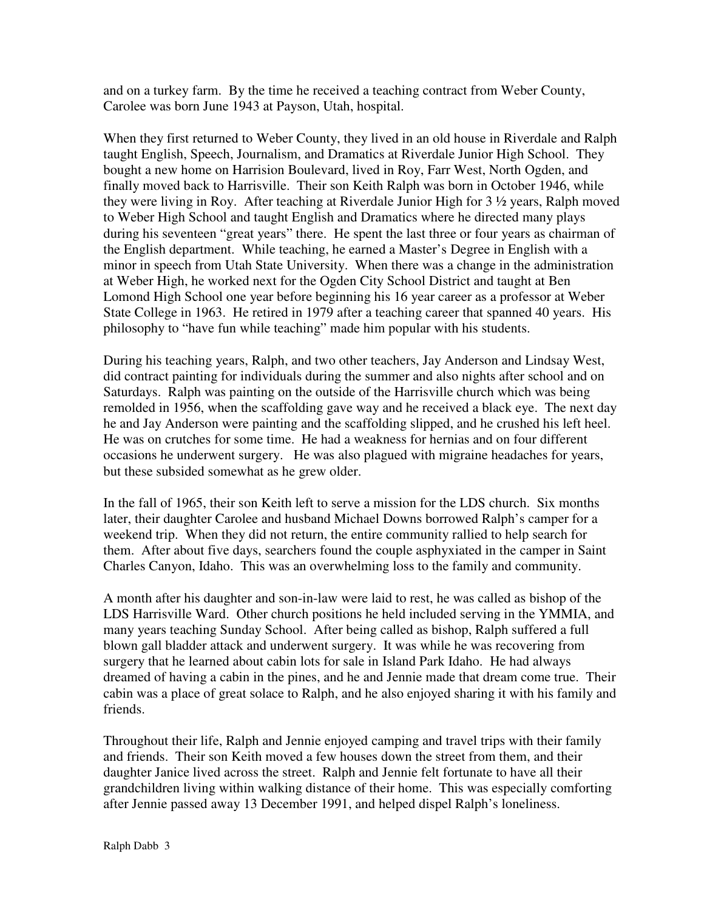and on a turkey farm. By the time he received a teaching contract from Weber County, Carolee was born June 1943 at Payson, Utah, hospital.

When they first returned to Weber County, they lived in an old house in Riverdale and Ralph taught English, Speech, Journalism, and Dramatics at Riverdale Junior High School. They bought a new home on Harrision Boulevard, lived in Roy, Farr West, North Ogden, and finally moved back to Harrisville. Their son Keith Ralph was born in October 1946, while they were living in Roy. After teaching at Riverdale Junior High for 3 ½ years, Ralph moved to Weber High School and taught English and Dramatics where he directed many plays during his seventeen "great years" there. He spent the last three or four years as chairman of the English department. While teaching, he earned a Master's Degree in English with a minor in speech from Utah State University. When there was a change in the administration at Weber High, he worked next for the Ogden City School District and taught at Ben Lomond High School one year before beginning his 16 year career as a professor at Weber State College in 1963. He retired in 1979 after a teaching career that spanned 40 years. His philosophy to "have fun while teaching" made him popular with his students.

During his teaching years, Ralph, and two other teachers, Jay Anderson and Lindsay West, did contract painting for individuals during the summer and also nights after school and on Saturdays. Ralph was painting on the outside of the Harrisville church which was being remolded in 1956, when the scaffolding gave way and he received a black eye. The next day he and Jay Anderson were painting and the scaffolding slipped, and he crushed his left heel. He was on crutches for some time. He had a weakness for hernias and on four different occasions he underwent surgery. He was also plagued with migraine headaches for years, but these subsided somewhat as he grew older.

In the fall of 1965, their son Keith left to serve a mission for the LDS church. Six months later, their daughter Carolee and husband Michael Downs borrowed Ralph's camper for a weekend trip. When they did not return, the entire community rallied to help search for them. After about five days, searchers found the couple asphyxiated in the camper in Saint Charles Canyon, Idaho. This was an overwhelming loss to the family and community.

A month after his daughter and son-in-law were laid to rest, he was called as bishop of the LDS Harrisville Ward. Other church positions he held included serving in the YMMIA, and many years teaching Sunday School. After being called as bishop, Ralph suffered a full blown gall bladder attack and underwent surgery. It was while he was recovering from surgery that he learned about cabin lots for sale in Island Park Idaho. He had always dreamed of having a cabin in the pines, and he and Jennie made that dream come true. Their cabin was a place of great solace to Ralph, and he also enjoyed sharing it with his family and friends.

Throughout their life, Ralph and Jennie enjoyed camping and travel trips with their family and friends. Their son Keith moved a few houses down the street from them, and their daughter Janice lived across the street. Ralph and Jennie felt fortunate to have all their grandchildren living within walking distance of their home. This was especially comforting after Jennie passed away 13 December 1991, and helped dispel Ralph's loneliness.